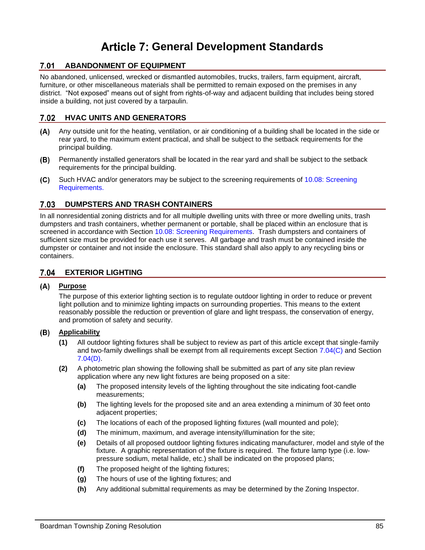# **Article 7: General Development Standards**

# **7.01 ABANDONMENT OF EQUIPMENT**

No abandoned, unlicensed, wrecked or dismantled automobiles, trucks, trailers, farm equipment, aircraft, furniture, or other miscellaneous materials shall be permitted to remain exposed on the premises in any district. "Not exposed" means out of sight from rights-of-way and adjacent building that includes being stored inside a building, not just covered by a tarpaulin.

# **HVAC UNITS AND GENERATORS**

- Any outside unit for the heating, ventilation, or air conditioning of a building shall be located in the side or rear yard, to the maximum extent practical, and shall be subject to the setback requirements for the principal building.
- $(B)$ Permanently installed generators shall be located in the rear yard and shall be subject to the setback requirements for the principal building.
- $(C)$ Such HVAC and/or generators may be subject to the screening requirements of 10.08: Screening Requirements.

# **7.03 DUMPSTERS AND TRASH CONTAINERS**

In all nonresidential zoning districts and for all multiple dwelling units with three or more dwelling units, trash dumpsters and trash containers, whether permanent or portable, shall be placed within an enclosure that is screened in accordance with Section 10.08: Screening Requirements. Trash dumpsters and containers of sufficient size must be provided for each use it serves. All garbage and trash must be contained inside the dumpster or container and not inside the enclosure. This standard shall also apply to any recycling bins or containers.

# **EXTERIOR LIGHTING**

### **Purpose**

The purpose of this exterior lighting section is to regulate outdoor lighting in order to reduce or prevent light pollution and to minimize lighting impacts on surrounding properties. This means to the extent reasonably possible the reduction or prevention of glare and light trespass, the conservation of energy, and promotion of safety and security.

#### **Applicability**

- **(1)** All outdoor lighting fixtures shall be subject to review as part of this article except that single-family and two-family dwellings shall be exempt from all requirements except Section [7.04\(C\)](#page-1-0) and Section [7.04\(D\).](#page-1-1)
- **(2)** A photometric plan showing the following shall be submitted as part of any site plan review application where any new light fixtures are being proposed on a site:
	- **(a)** The proposed intensity levels of the lighting throughout the site indicating foot-candle measurements;
	- **(b)** The lighting levels for the proposed site and an area extending a minimum of 30 feet onto adjacent properties;
	- **(c)** The locations of each of the proposed lighting fixtures (wall mounted and pole);
	- **(d)** The minimum, maximum, and average intensity/illumination for the site;
	- **(e)** Details of all proposed outdoor lighting fixtures indicating manufacturer, model and style of the fixture. A graphic representation of the fixture is required. The fixture lamp type (i.e. lowpressure sodium, metal halide, etc.) shall be indicated on the proposed plans;
	- **(f)** The proposed height of the lighting fixtures;
	- **(g)** The hours of use of the lighting fixtures; and
	- **(h)** Any additional submittal requirements as may be determined by the Zoning Inspector.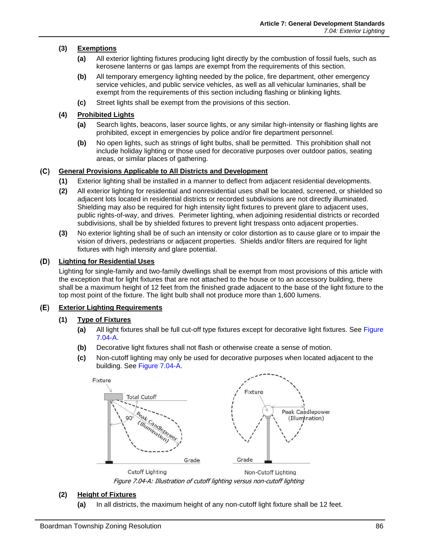## **(3) Exemptions**

- **(a)** All exterior lighting fixtures producing light directly by the combustion of fossil fuels, such as kerosene lanterns or gas lamps are exempt from the requirements of this section.
- **(b)** All temporary emergency lighting needed by the police, fire department, other emergency service vehicles, and public service vehicles, as well as all vehicular luminaries, shall be exempt from the requirements of this section including flashing or blinking lights.
- **(c)** Street lights shall be exempt from the provisions of this section.

### **(4) Prohibited Lights**

- **(a)** Search lights, beacons, laser source lights, or any similar high-intensity or flashing lights are prohibited, except in emergencies by police and/or fire department personnel.
- **(b)** No open lights, such as strings of light bulbs, shall be permitted. This prohibition shall not include holiday lighting or those used for decorative purposes over outdoor patios, seating areas, or similar places of gathering.

#### <span id="page-1-0"></span>**General Provisions Applicable to All Districts and Development**

- **(1)** Exterior lighting shall be installed in a manner to deflect from adjacent residential developments.
- **(2)** All exterior lighting for residential and nonresidential uses shall be located, screened, or shielded so adjacent lots located in residential districts or recorded subdivisions are not directly illuminated. Shielding may also be required for high intensity light fixtures to prevent glare to adjacent uses, public rights-of-way, and drives. Perimeter lighting, when adjoining residential districts or recorded subdivisions, shall be by shielded fixtures to prevent light trespass onto adjacent properties.
- **(3)** No exterior lighting shall be of such an intensity or color distortion as to cause glare or to impair the vision of drivers, pedestrians or adjacent properties. Shields and/or filters are required for light fixtures with high intensity and glare potential.

#### <span id="page-1-1"></span>**Lighting for Residential Uses**  $(D)$

Lighting for single-family and two-family dwellings shall be exempt from most provisions of this article with the exception that for light fixtures that are not attached to the house or to an accessory building, there shall be a maximum height of 12 feet from the finished grade adjacent to the base of the light fixture to the top most point of the fixture. The light bulb shall not produce more than 1,600 lumens.

# **Exterior Lighting Requirements**

#### **(1) Type of Fixtures**

- **(a)** All light fixtures shall be full cut-off type fixtures except for decorative light fixtures. See [Figure](#page-1-2)  [7.04-A.](#page-1-2)
- **(b)** Decorative light fixtures shall not flash or otherwise create a sense of motion.
- **(c)** Non-cutoff lighting may only be used for decorative purposes when located adjacent to the building. See [Figure 7.04-A.](#page-1-2)



Figure 7.04-A: Illustration of cutoff lighting versus non-cutoff lighting

#### <span id="page-1-2"></span>**(2) Height of Fixtures**

**(a)** In all districts, the maximum height of any non-cutoff light fixture shall be 12 feet.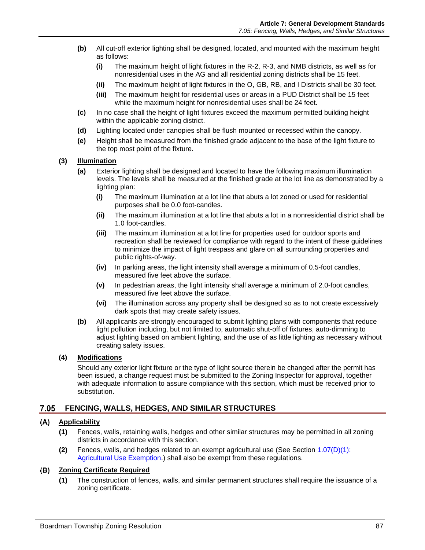- **(b)** All cut-off exterior lighting shall be designed, located, and mounted with the maximum height as follows:
	- **(i)** The maximum height of light fixtures in the R-2, R-3, and NMB districts, as well as for nonresidential uses in the AG and all residential zoning districts shall be 15 feet.
	- **(ii)** The maximum height of light fixtures in the O, GB, RB, and I Districts shall be 30 feet.
	- **(iii)** The maximum height for residential uses or areas in a PUD District shall be 15 feet while the maximum height for nonresidential uses shall be 24 feet.
- **(c)** In no case shall the height of light fixtures exceed the maximum permitted building height within the applicable zoning district.
- **(d)** Lighting located under canopies shall be flush mounted or recessed within the canopy.
- **(e)** Height shall be measured from the finished grade adjacent to the base of the light fixture to the top most point of the fixture.

#### **(3) Illumination**

- **(a)** Exterior lighting shall be designed and located to have the following maximum illumination levels. The levels shall be measured at the finished grade at the lot line as demonstrated by a lighting plan:
	- **(i)** The maximum illumination at a lot line that abuts a lot zoned or used for residential purposes shall be 0.0 foot-candles.
	- **(ii)** The maximum illumination at a lot line that abuts a lot in a nonresidential district shall be 1.0 foot-candles.
	- **(iii)** The maximum illumination at a lot line for properties used for outdoor sports and recreation shall be reviewed for compliance with regard to the intent of these guidelines to minimize the impact of light trespass and glare on all surrounding properties and public rights-of-way.
	- **(iv)** In parking areas, the light intensity shall average a minimum of 0.5-foot candles, measured five feet above the surface.
	- **(v)** In pedestrian areas, the light intensity shall average a minimum of 2.0-foot candles, measured five feet above the surface.
	- **(vi)** The illumination across any property shall be designed so as to not create excessively dark spots that may create safety issues.
- **(b)** All applicants are strongly encouraged to submit lighting plans with components that reduce light pollution including, but not limited to, automatic shut-off of fixtures, auto-dimming to adjust lighting based on ambient lighting, and the use of as little lighting as necessary without creating safety issues.

### **(4) Modifications**

Should any exterior light fixture or the type of light source therein be changed after the permit has been issued, a change request must be submitted to the Zoning Inspector for approval, together with adequate information to assure compliance with this section, which must be received prior to substitution.

# **FENCING, WALLS, HEDGES, AND SIMILAR STRUCTURES**

#### $(A)$ **Applicability**

- **(1)** Fences, walls, retaining walls, hedges and other similar structures may be permitted in all zoning districts in accordance with this section.
- **(2)** Fences, walls, and hedges related to an exempt agricultural use (See Section 1.07(D)(1): Agricultural Use Exemption.) shall also be exempt from these regulations.

#### **Zoning Certificate Required**

**(1)** The construction of fences, walls, and similar permanent structures shall require the issuance of a zoning certificate.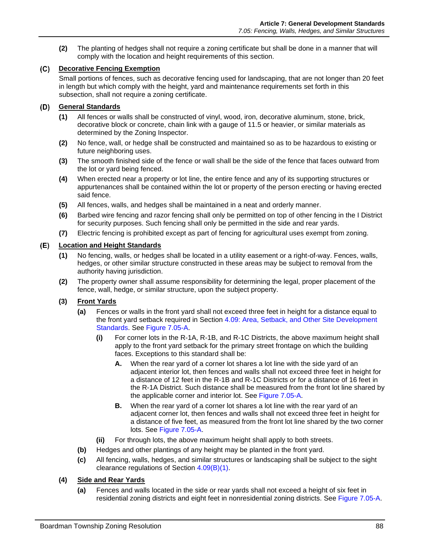**(2)** The planting of hedges shall not require a zoning certificate but shall be done in a manner that will comply with the location and height requirements of this section.

#### **Decorative Fencing Exemption**

Small portions of fences, such as decorative fencing used for landscaping, that are not longer than 20 feet in length but which comply with the height, yard and maintenance requirements set forth in this subsection, shall not require a zoning certificate.

### **General Standards**

- **(1)** All fences or walls shall be constructed of vinyl, wood, iron, decorative aluminum, stone, brick, decorative block or concrete, chain link with a gauge of 11.5 or heavier, or similar materials as determined by the Zoning Inspector.
- **(2)** No fence, wall, or hedge shall be constructed and maintained so as to be hazardous to existing or future neighboring uses.
- **(3)** The smooth finished side of the fence or wall shall be the side of the fence that faces outward from the lot or yard being fenced.
- **(4)** When erected near a property or lot line, the entire fence and any of its supporting structures or appurtenances shall be contained within the lot or property of the person erecting or having erected said fence.
- **(5)** All fences, walls, and hedges shall be maintained in a neat and orderly manner.
- **(6)** Barbed wire fencing and razor fencing shall only be permitted on top of other fencing in the I District for security purposes. Such fencing shall only be permitted in the side and rear yards.
- **(7)** Electric fencing is prohibited except as part of fencing for agricultural uses exempt from zoning.

#### **Location and Height Standards**

- **(1)** No fencing, walls, or hedges shall be located in a utility easement or a right-of-way. Fences, walls, hedges, or other similar structure constructed in these areas may be subject to removal from the authority having jurisdiction.
- **(2)** The property owner shall assume responsibility for determining the legal, proper placement of the fence, wall, hedge, or similar structure, upon the subject property.

#### **(3) Front Yards**

- **(a)** Fences or walls in the front yard shall not exceed three feet in height for a distance equal to the front yard setback required in Section 4.09: Area, Setback, and Other Site Development Standards. See [Figure 7.05-A.](#page-4-0)
	- **(i)** For corner lots in the R-1A, R-1B, and R-1C Districts, the above maximum height shall apply to the front yard setback for the primary street frontage on which the building faces. Exceptions to this standard shall be:
		- **A.** When the rear yard of a corner lot shares a lot line with the side yard of an adjacent interior lot, then fences and walls shall not exceed three feet in height for a distance of 12 feet in the R-1B and R-1C Districts or for a distance of 16 feet in the R-1A District. Such distance shall be measured from the front lot line shared by the applicable corner and interior lot. See [Figure 7.05-A.](#page-4-0)
		- **B.** When the rear yard of a corner lot shares a lot line with the rear yard of an adjacent corner lot, then fences and walls shall not exceed three feet in height for a distance of five feet, as measured from the front lot line shared by the two corner lots. See [Figure 7.05-A.](#page-4-0)
	- **(ii)** For through lots, the above maximum height shall apply to both streets.
- **(b)** Hedges and other plantings of any height may be planted in the front yard.
- **(c)** All fencing, walls, hedges, and similar structures or landscaping shall be subject to the sight clearance regulations of Section 4.09(B)(1).

#### **(4) Side and Rear Yards**

**(a)** Fences and walls located in the side or rear yards shall not exceed a height of six feet in residential zoning districts and eight feet in nonresidential zoning districts. See [Figure 7.05-A.](#page-4-0)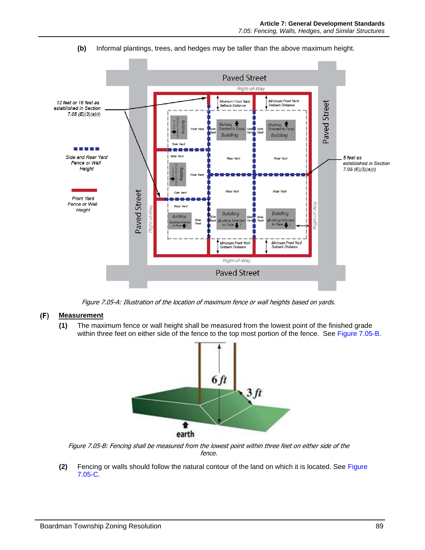

**(b)** Informal plantings, trees, and hedges may be taller than the above maximum height.

Figure 7.05-A: Illustration of the location of maximum fence or wall heights based on yards.

#### <span id="page-4-0"></span> $(F)$ **Measurement**

**(1)** The maximum fence or wall height shall be measured from the lowest point of the finished grade within three feet on either side of the fence to the top most portion of the fence. See [Figure 7.05-B.](#page-4-1)



<span id="page-4-1"></span>Figure 7.05-B: Fencing shall be measured from the lowest point within three feet on either side of the fence.

**(2)** Fencing or walls should follow the natural contour of the land on which it is located. See [Figure](#page-5-0)  [7.05-C.](#page-5-0)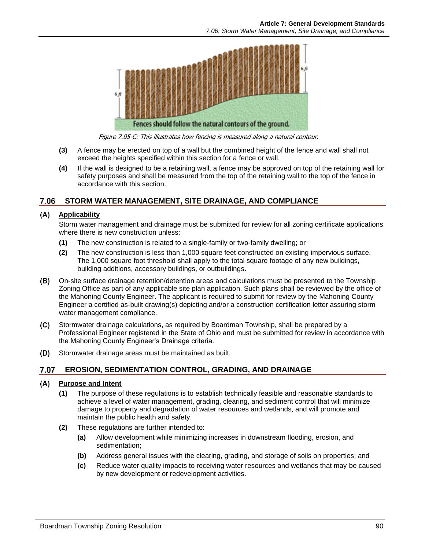

Figure 7.05-C: This illustrates how fencing is measured along a natural contour.

- <span id="page-5-0"></span>**(3)** A fence may be erected on top of a wall but the combined height of the fence and wall shall not exceed the heights specified within this section for a fence or wall.
- **(4)** If the wall is designed to be a retaining wall, a fence may be approved on top of the retaining wall for safety purposes and shall be measured from the top of the retaining wall to the top of the fence in accordance with this section.

# **STORM WATER MANAGEMENT, SITE DRAINAGE, AND COMPLIANCE**

#### **Applicability**

Storm water management and drainage must be submitted for review for all zoning certificate applications where there is new construction unless:

- **(1)** The new construction is related to a single-family or two-family dwelling; or
- **(2)** The new construction is less than 1,000 square feet constructed on existing impervious surface. The 1,000 square foot threshold shall apply to the total square footage of any new buildings, building additions, accessory buildings, or outbuildings.
- On-site surface drainage retention/detention areas and calculations must be presented to the Township Zoning Office as part of any applicable site plan application. Such plans shall be reviewed by the office of the Mahoning County Engineer. The applicant is required to submit for review by the Mahoning County Engineer a certified as-built drawing(s) depicting and/or a construction certification letter assuring storm water management compliance.
- Stormwater drainage calculations, as required by Boardman Township, shall be prepared by a Professional Engineer registered in the State of Ohio and must be submitted for review in accordance with the Mahoning County Engineer's Drainage criteria.
- (D) Stormwater drainage areas must be maintained as built.

# **EROSION, SEDIMENTATION CONTROL, GRADING, AND DRAINAGE**

#### **Purpose and Intent**

- **(1)** The purpose of these regulations is to establish technically feasible and reasonable standards to achieve a level of water management, grading, clearing, and sediment control that will minimize damage to property and degradation of water resources and wetlands, and will promote and maintain the public health and safety.
- **(2)** These regulations are further intended to:
	- **(a)** Allow development while minimizing increases in downstream flooding, erosion, and sedimentation;
	- **(b)** Address general issues with the clearing, grading, and storage of soils on properties; and
	- **(c)** Reduce water quality impacts to receiving water resources and wetlands that may be caused by new development or redevelopment activities.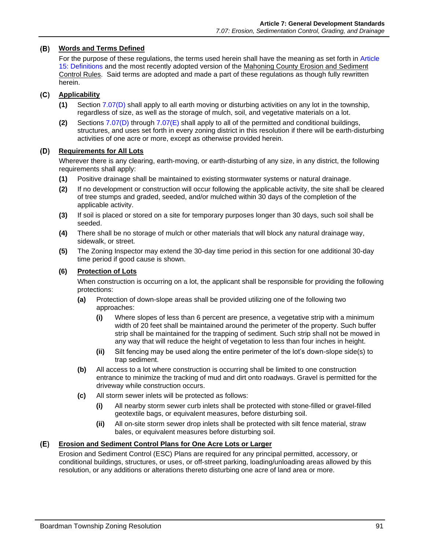#### **Words and Terms Defined**

For the purpose of these regulations, the terms used herein shall have the meaning as set forth in Article 15: Definitions and the most recently adopted version of the Mahoning County Erosion and Sediment Control Rules. Said terms are adopted and made a part of these regulations as though fully rewritten herein.

## **Applicability**

- **(1)** Section [7.07\(D\)](#page-6-0) shall apply to all earth moving or disturbing activities on any lot in the township, regardless of size, as well as the storage of mulch, soil, and vegetative materials on a lot.
- **(2)** Sections [7.07\(D\)](#page-6-0) through [7.07\(E\)](#page-6-1) shall apply to all of the permitted and conditional buildings, structures, and uses set forth in every zoning district in this resolution if there will be earth-disturbing activities of one acre or more, except as otherwise provided herein.

# <span id="page-6-0"></span>**Requirements for All Lots**

Wherever there is any clearing, earth-moving, or earth-disturbing of any size, in any district, the following requirements shall apply:

- **(1)** Positive drainage shall be maintained to existing stormwater systems or natural drainage.
- **(2)** If no development or construction will occur following the applicable activity, the site shall be cleared of tree stumps and graded, seeded, and/or mulched within 30 days of the completion of the applicable activity.
- **(3)** If soil is placed or stored on a site for temporary purposes longer than 30 days, such soil shall be seeded.
- **(4)** There shall be no storage of mulch or other materials that will block any natural drainage way, sidewalk, or street.
- **(5)** The Zoning Inspector may extend the 30-day time period in this section for one additional 30-day time period if good cause is shown.

#### **(6) Protection of Lots**

When construction is occurring on a lot, the applicant shall be responsible for providing the following protections:

- **(a)** Protection of down-slope areas shall be provided utilizing one of the following two approaches:
	- **(i)** Where slopes of less than 6 percent are presence, a vegetative strip with a minimum width of 20 feet shall be maintained around the perimeter of the property. Such buffer strip shall be maintained for the trapping of sediment. Such strip shall not be mowed in any way that will reduce the height of vegetation to less than four inches in height.
	- **(ii)** Silt fencing may be used along the entire perimeter of the lot's down-slope side(s) to trap sediment.
- **(b)** All access to a lot where construction is occurring shall be limited to one construction entrance to minimize the tracking of mud and dirt onto roadways. Gravel is permitted for the driveway while construction occurs.
- **(c)** All storm sewer inlets will be protected as follows:
	- **(i)** All nearby storm sewer curb inlets shall be protected with stone-filled or gravel-filled geotextile bags, or equivalent measures, before disturbing soil.
	- **(ii)** All on-site storm sewer drop inlets shall be protected with silt fence material, straw bales, or equivalent measures before disturbing soil.

#### <span id="page-6-1"></span>**Erosion and Sediment Control Plans for One Acre Lots or Larger**

Erosion and Sediment Control (ESC) Plans are required for any principal permitted, accessory, or conditional buildings, structures, or uses, or off-street parking, loading/unloading areas allowed by this resolution, or any additions or alterations thereto disturbing one acre of land area or more.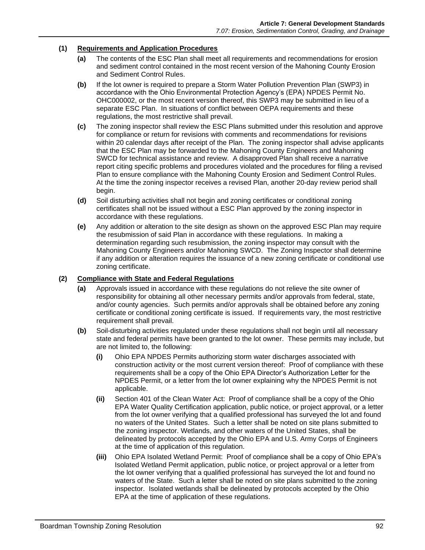#### **(1) Requirements and Application Procedures**

- **(a)** The contents of the ESC Plan shall meet all requirements and recommendations for erosion and sediment control contained in the most recent version of the Mahoning County Erosion and Sediment Control Rules.
- **(b)** If the lot owner is required to prepare a Storm Water Pollution Prevention Plan (SWP3) in accordance with the Ohio Environmental Protection Agency's (EPA) NPDES Permit No. OHC000002, or the most recent version thereof, this SWP3 may be submitted in lieu of a separate ESC Plan. In situations of conflict between OEPA requirements and these regulations, the most restrictive shall prevail.
- **(c)** The zoning inspector shall review the ESC Plans submitted under this resolution and approve for compliance or return for revisions with comments and recommendations for revisions within 20 calendar days after receipt of the Plan. The zoning inspector shall advise applicants that the ESC Plan may be forwarded to the Mahoning County Engineers and Mahoning SWCD for technical assistance and review. A disapproved Plan shall receive a narrative report citing specific problems and procedures violated and the procedures for filing a revised Plan to ensure compliance with the Mahoning County Erosion and Sediment Control Rules. At the time the zoning inspector receives a revised Plan, another 20-day review period shall begin.
- **(d)** Soil disturbing activities shall not begin and zoning certificates or conditional zoning certificates shall not be issued without a ESC Plan approved by the zoning inspector in accordance with these regulations.
- **(e)** Any addition or alteration to the site design as shown on the approved ESC Plan may require the resubmission of said Plan in accordance with these regulations. In making a determination regarding such resubmission, the zoning inspector may consult with the Mahoning County Engineers and/or Mahoning SWCD. The Zoning Inspector shall determine if any addition or alteration requires the issuance of a new zoning certificate or conditional use zoning certificate.

#### **(2) Compliance with State and Federal Regulations**

- **(a)** Approvals issued in accordance with these regulations do not relieve the site owner of responsibility for obtaining all other necessary permits and/or approvals from federal, state, and/or county agencies. Such permits and/or approvals shall be obtained before any zoning certificate or conditional zoning certificate is issued. If requirements vary, the most restrictive requirement shall prevail.
- **(b)** Soil-disturbing activities regulated under these regulations shall not begin until all necessary state and federal permits have been granted to the lot owner. These permits may include, but are not limited to, the following:
	- **(i)** Ohio EPA NPDES Permits authorizing storm water discharges associated with construction activity or the most current version thereof: Proof of compliance with these requirements shall be a copy of the Ohio EPA Director's Authorization Letter for the NPDES Permit, or a letter from the lot owner explaining why the NPDES Permit is not applicable.
	- **(ii)** Section 401 of the Clean Water Act: Proof of compliance shall be a copy of the Ohio EPA Water Quality Certification application, public notice, or project approval, or a letter from the lot owner verifying that a qualified professional has surveyed the lot and found no waters of the United States. Such a letter shall be noted on site plans submitted to the zoning inspector. Wetlands, and other waters of the United States, shall be delineated by protocols accepted by the Ohio EPA and U.S. Army Corps of Engineers at the time of application of this regulation.
	- **(iii)** Ohio EPA Isolated Wetland Permit: Proof of compliance shall be a copy of Ohio EPA's Isolated Wetland Permit application, public notice, or project approval or a letter from the lot owner verifying that a qualified professional has surveyed the lot and found no waters of the State. Such a letter shall be noted on site plans submitted to the zoning inspector. Isolated wetlands shall be delineated by protocols accepted by the Ohio EPA at the time of application of these regulations.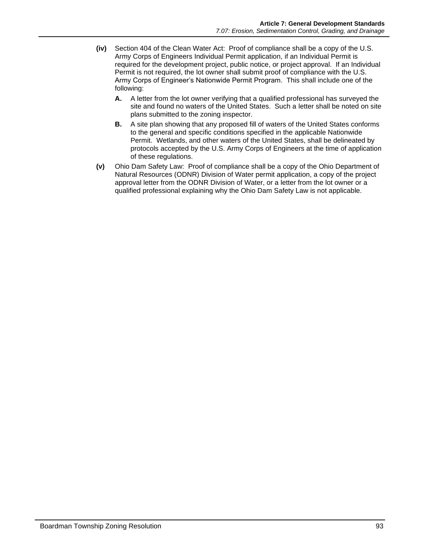- **(iv)** Section 404 of the Clean Water Act: Proof of compliance shall be a copy of the U.S. Army Corps of Engineers Individual Permit application, if an Individual Permit is required for the development project, public notice, or project approval. If an Individual Permit is not required, the lot owner shall submit proof of compliance with the U.S. Army Corps of Engineer's Nationwide Permit Program. This shall include one of the following:
	- **A.** A letter from the lot owner verifying that a qualified professional has surveyed the site and found no waters of the United States. Such a letter shall be noted on site plans submitted to the zoning inspector.
	- **B.** A site plan showing that any proposed fill of waters of the United States conforms to the general and specific conditions specified in the applicable Nationwide Permit. Wetlands, and other waters of the United States, shall be delineated by protocols accepted by the U.S. Army Corps of Engineers at the time of application of these regulations.
- **(v)** Ohio Dam Safety Law: Proof of compliance shall be a copy of the Ohio Department of Natural Resources (ODNR) Division of Water permit application, a copy of the project approval letter from the ODNR Division of Water, or a letter from the lot owner or a qualified professional explaining why the Ohio Dam Safety Law is not applicable.